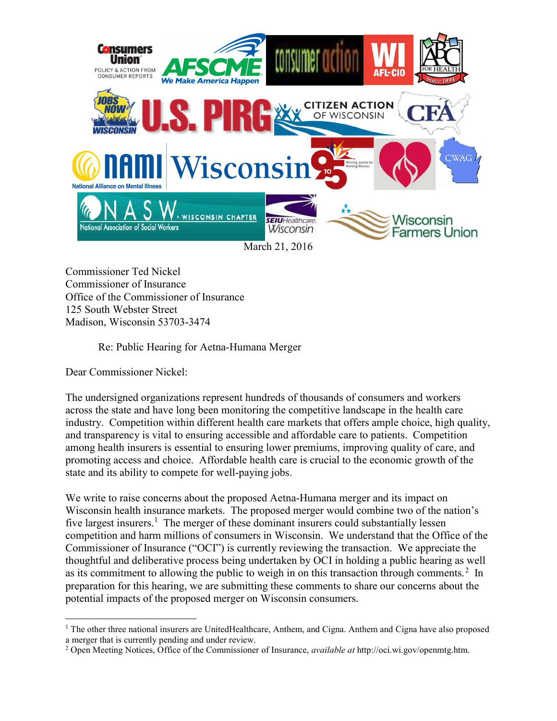

Commissioner Ted Nickel Commissioner of Insurance Office of the Commissioner of Insurance 125 South Webster Street Madison, Wisconsin 53703-3474

Re: Public Hearing for Aetna-Humana Merger

Dear Commissioner Nickel:

 $\overline{a}$ 

The undersigned organizations represent hundreds of thousands of consumers and workers across the state and have long been monitoring the competitive landscape in the health care industry. Competition within different health care markets that offers ample choice, high quality, and transparency is vital to ensuring accessible and affordable care to patients. Competition among health insurers is essential to ensuring lower premiums, improving quality of care, and promoting access and choice. Affordable health care is crucial to the economic growth of the state and its ability to compete for well-paying jobs.

We write to raise concerns about the proposed Aetna-Humana merger and its impact on Wisconsin health insurance markets. The proposed merger would combine two of the nation's five largest insurers.<sup>1</sup> The merger of these dominant insurers could substantially lessen competition and harm millions of consumers in Wisconsin. We understand that the Office of the Commissioner of Insurance ("OCI") is currently reviewing the transaction. We appreciate the thoughtful and deliberative process being undertaken by OCI in holding a public hearing as well as its commitment to allowing the public to weigh in on this transaction through comments.<sup>2</sup> In preparation for this hearing, we are submitting these comments to share our concerns about the potential impacts of the proposed merger on Wisconsin consumers.

<sup>&</sup>lt;sup>1</sup> The other three national insurers are UnitedHealthcare, Anthem, and Cigna. Anthem and Cigna have also proposed a merger that is currently pending and under review.

<sup>&</sup>lt;sup>2</sup> Open Meeting Notices, Office of the Commissioner of Insurance, *available at* http://oci.wi.gov/openmtg.htm.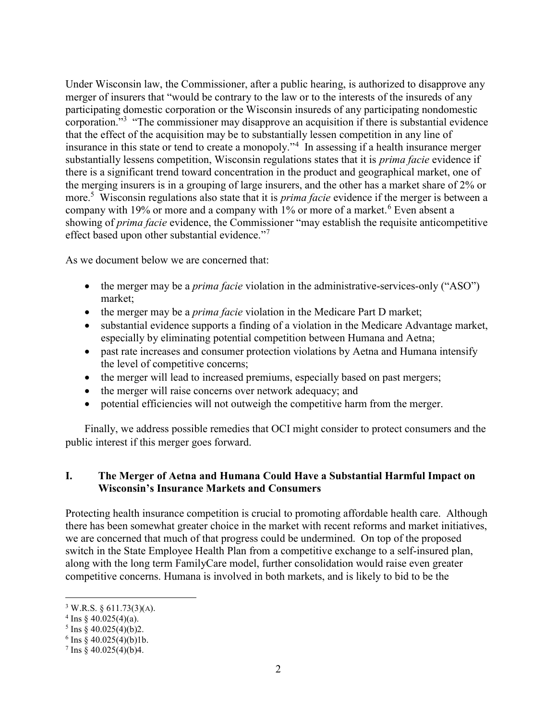Under Wisconsin law, the Commissioner, after a public hearing, is authorized to disapprove any merger of insurers that "would be contrary to the law or to the interests of the insureds of any participating domestic corporation or the Wisconsin insureds of any participating nondomestic corporation."<sup>3</sup> "The commissioner may disapprove an acquisition if there is substantial evidence that the effect of the acquisition may be to substantially lessen competition in any line of insurance in this state or tend to create a monopoly."<sup>4</sup> In assessing if a health insurance merger substantially lessens competition, Wisconsin regulations states that it is *prima facie* evidence if there is a significant trend toward concentration in the product and geographical market, one of the merging insurers is in a grouping of large insurers, and the other has a market share of 2% or more.<sup>5</sup> Wisconsin regulations also state that it is *prima facie* evidence if the merger is between a company with 19% or more and a company with 1% or more of a market.<sup>6</sup> Even absent a showing of prima facie evidence, the Commissioner "may establish the requisite anticompetitive effect based upon other substantial evidence."<sup>7</sup>

As we document below we are concerned that:

- $\bullet$  the merger may be a *prima facie* violation in the administrative-services-only ("ASO") market;
- $\bullet$  the merger may be a *prima facie* violation in the Medicare Part D market;
- substantial evidence supports a finding of a violation in the Medicare Advantage market, especially by eliminating potential competition between Humana and Aetna;
- past rate increases and consumer protection violations by Aetna and Humana intensify the level of competitive concerns;
- the merger will lead to increased premiums, especially based on past mergers;
- the merger will raise concerns over network adequacy; and
- potential efficiencies will not outweigh the competitive harm from the merger.

Finally, we address possible remedies that OCI might consider to protect consumers and the public interest if this merger goes forward.

## I. The Merger of Aetna and Humana Could Have a Substantial Harmful Impact on Wisconsin's Insurance Markets and Consumers

Protecting health insurance competition is crucial to promoting affordable health care. Although there has been somewhat greater choice in the market with recent reforms and market initiatives, we are concerned that much of that progress could be undermined. On top of the proposed switch in the State Employee Health Plan from a competitive exchange to a self-insured plan, along with the long term FamilyCare model, further consolidation would raise even greater competitive concerns. Humana is involved in both markets, and is likely to bid to be the

<sup>&</sup>lt;sup>3</sup> W.R.S. § 611.73(3)(A).

<sup>&</sup>lt;sup>4</sup> Ins  $\S$  40.025(4)(a).

 $5 \text{ Ins } \S 40.025(4)(b)2.$ 

 $6 \text{ Ins } § 40.025(4)(b)1b.$ 

 $7 \text{ Ins } \S 40.025(4)(b)4.$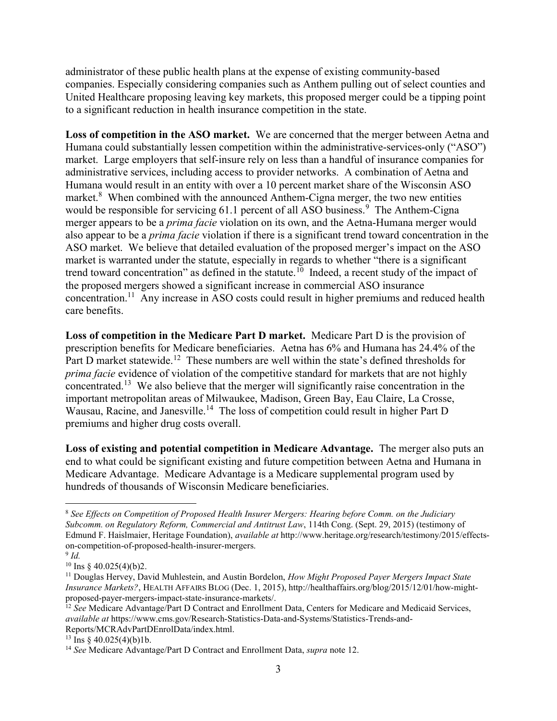administrator of these public health plans at the expense of existing community-based companies. Especially considering companies such as Anthem pulling out of select counties and United Healthcare proposing leaving key markets, this proposed merger could be a tipping point to a significant reduction in health insurance competition in the state.

Loss of competition in the ASO market. We are concerned that the merger between Aetna and Humana could substantially lessen competition within the administrative-services-only ("ASO") market. Large employers that self-insure rely on less than a handful of insurance companies for administrative services, including access to provider networks. A combination of Aetna and Humana would result in an entity with over a 10 percent market share of the Wisconsin ASO market.<sup>8</sup> When combined with the announced Anthem-Cigna merger, the two new entities would be responsible for servicing 61.1 percent of all ASO business.  $9$  The Anthem-Cigna merger appears to be a prima facie violation on its own, and the Aetna-Humana merger would also appear to be a prima facie violation if there is a significant trend toward concentration in the ASO market. We believe that detailed evaluation of the proposed merger's impact on the ASO market is warranted under the statute, especially in regards to whether "there is a significant trend toward concentration" as defined in the statute.<sup>10</sup> Indeed, a recent study of the impact of the proposed mergers showed a significant increase in commercial ASO insurance concentration.<sup>11</sup> Any increase in ASO costs could result in higher premiums and reduced health care benefits.

Loss of competition in the Medicare Part D market. Medicare Part D is the provision of prescription benefits for Medicare beneficiaries. Aetna has 6% and Humana has 24.4% of the Part D market statewide.<sup>12</sup> These numbers are well within the state's defined thresholds for prima facie evidence of violation of the competitive standard for markets that are not highly concentrated.<sup>13</sup> We also believe that the merger will significantly raise concentration in the important metropolitan areas of Milwaukee, Madison, Green Bay, Eau Claire, La Crosse, Wausau, Racine, and Janesville.<sup>14</sup> The loss of competition could result in higher Part D premiums and higher drug costs overall.

Loss of existing and potential competition in Medicare Advantage. The merger also puts an end to what could be significant existing and future competition between Aetna and Humana in Medicare Advantage. Medicare Advantage is a Medicare supplemental program used by hundreds of thousands of Wisconsin Medicare beneficiaries.

 $8$  See Effects on Competition of Proposed Health Insurer Mergers: Hearing before Comm, on the Judiciary Subcomm. on Regulatory Reform, Commercial and Antitrust Law, 114th Cong. (Sept. 29, 2015) (testimony of Edmund F. Haislmaier, Heritage Foundation), available at http://www.heritage.org/research/testimony/2015/effectson-competition-of-proposed-health-insurer-mergers.

 $9$  Id.

<sup>&</sup>lt;sup>10</sup> Ins § 40.025(4)(b)2.

 $11$  Douglas Hervey, David Muhlestein, and Austin Bordelon, How Might Proposed Payer Mergers Impact State Insurance Markets?, HEALTH AFFAIRS BLOG (Dec. 1, 2015), http://healthaffairs.org/blog/2015/12/01/how-mightproposed-payer-mergers-impact-state-insurance-markets/.

 $^{12}$  See Medicare Advantage/Part D Contract and Enrollment Data, Centers for Medicare and Medicaid Services, available at https://www.cms.gov/Research-Statistics-Data-and-Systems/Statistics-Trends-and-Reports/MCRAdvPartDEnrolData/index.html.

<sup>&</sup>lt;sup>13</sup> Ins  $\frac{6}{9}$  40.025(4)(b)1b.

<sup>&</sup>lt;sup>14</sup> See Medicare Advantage/Part D Contract and Enrollment Data, supra note 12.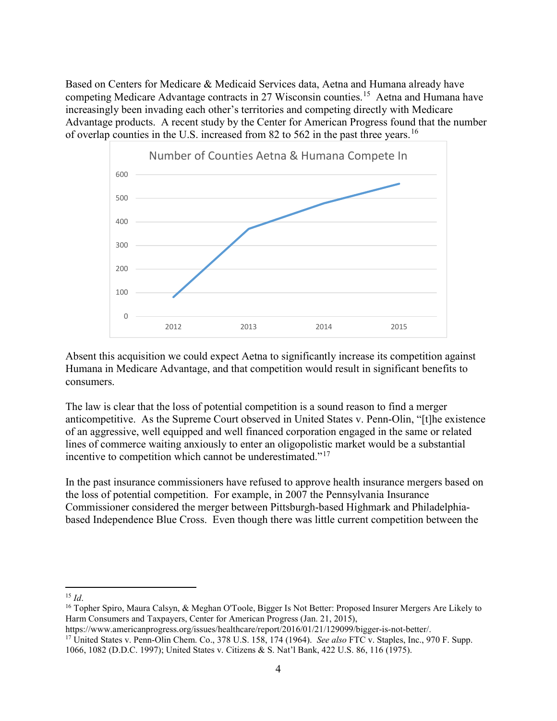Based on Centers for Medicare & Medicaid Services data, Aetna and Humana already have competing Medicare Advantage contracts in 27 Wisconsin counties.<sup>15</sup> Aetna and Humana have increasingly been invading each other's territories and competing directly with Medicare Advantage products. A recent study by the Center for American Progress found that the number of overlap counties in the U.S. increased from 82 to 562 in the past three years.<sup>16</sup>



Absent this acquisition we could expect Aetna to significantly increase its competition against Humana in Medicare Advantage, and that competition would result in significant benefits to consumers.

The law is clear that the loss of potential competition is a sound reason to find a merger anticompetitive. As the Supreme Court observed in United States v. Penn-Olin, "[t]he existence of an aggressive, well equipped and well financed corporation engaged in the same or related lines of commerce waiting anxiously to enter an oligopolistic market would be a substantial incentive to competition which cannot be underestimated."<sup>17</sup>

In the past insurance commissioners have refused to approve health insurance mergers based on the loss of potential competition. For example, in 2007 the Pennsylvania Insurance Commissioner considered the merger between Pittsburgh-based Highmark and Philadelphiabased Independence Blue Cross. Even though there was little current competition between the

<sup>16</sup> Topher Spiro, Maura Calsyn, & Meghan O'Toole, Bigger Is Not Better: Proposed Insurer Mergers Are Likely to Harm Consumers and Taxpayers, Center for American Progress (Jan. 21, 2015),

 $\overline{a}$  $15$  *Id.* 

https://www.americanprogress.org/issues/healthcare/report/2016/01/21/129099/bigger-is-not-better/.

<sup>&</sup>lt;sup>17</sup> United States v. Penn-Olin Chem. Co., 378 U.S. 158, 174 (1964). See also FTC v. Staples, Inc., 970 F. Supp. 1066, 1082 (D.D.C. 1997); United States v. Citizens & S. Nat'l Bank, 422 U.S. 86, 116 (1975).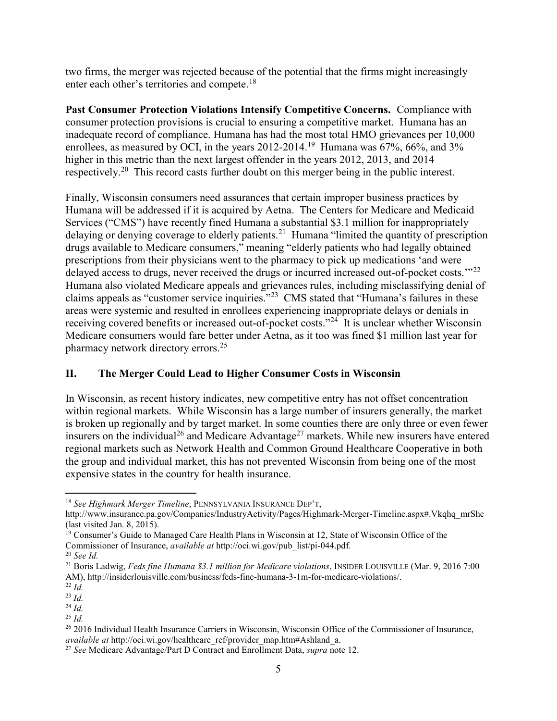two firms, the merger was rejected because of the potential that the firms might increasingly enter each other's territories and compete.<sup>18</sup>

Past Consumer Protection Violations Intensify Competitive Concerns. Compliance with consumer protection provisions is crucial to ensuring a competitive market. Humana has an inadequate record of compliance. Humana has had the most total HMO grievances per 10,000 enrollees, as measured by OCI, in the years 2012-2014.<sup>19</sup> Humana was  $67\%$ ,  $66\%$ , and  $3\%$ higher in this metric than the next largest offender in the years 2012, 2013, and 2014 respectively.<sup>20</sup> This record casts further doubt on this merger being in the public interest.

Finally, Wisconsin consumers need assurances that certain improper business practices by Humana will be addressed if it is acquired by Aetna. The Centers for Medicare and Medicaid Services ("CMS") have recently fined Humana a substantial \$3.1 million for inappropriately delaying or denying coverage to elderly patients.<sup>21</sup> Humana "limited the quantity of prescription drugs available to Medicare consumers," meaning "elderly patients who had legally obtained prescriptions from their physicians went to the pharmacy to pick up medications 'and were delayed access to drugs, never received the drugs or incurred increased out-of-pocket costs." $2^2$ Humana also violated Medicare appeals and grievances rules, including misclassifying denial of claims appeals as "customer service inquiries."<sup>23</sup> CMS stated that "Humana's failures in these areas were systemic and resulted in enrollees experiencing inappropriate delays or denials in receiving covered benefits or increased out-of-pocket costs."<sup>24</sup> It is unclear whether Wisconsin Medicare consumers would fare better under Aetna, as it too was fined \$1 million last year for pharmacy network directory errors.<sup>25</sup>

## II. The Merger Could Lead to Higher Consumer Costs in Wisconsin

In Wisconsin, as recent history indicates, new competitive entry has not offset concentration within regional markets. While Wisconsin has a large number of insurers generally, the market is broken up regionally and by target market. In some counties there are only three or even fewer insurers on the individual<sup>26</sup> and Medicare Advantage<sup>27</sup> markets. While new insurers have entered regional markets such as Network Health and Common Ground Healthcare Cooperative in both the group and individual market, this has not prevented Wisconsin from being one of the most expensive states in the country for health insurance.

<sup>&</sup>lt;sup>18</sup> See Highmark Merger Timeline, PENNSYLVANIA INSURANCE DEP'T,

http://www.insurance.pa.gov/Companies/IndustryActivity/Pages/Highmark-Merger-Timeline.aspx#.Vkqhq\_mrShc (last visited Jan. 8, 2015).

<sup>&</sup>lt;sup>19</sup> Consumer's Guide to Managed Care Health Plans in Wisconsin at 12, State of Wisconsin Office of the Commissioner of Insurance, available at http://oci.wi.gov/pub\_list/pi-044.pdf.

<sup>20</sup> See Id.

<sup>&</sup>lt;sup>21</sup> Boris Ladwig, Feds fine Humana \$3.1 million for Medicare violations, INSIDER LOUISVILLE (Mar. 9, 2016 7:00 AM), http://insiderlouisville.com/business/feds-fine-humana-3-1m-for-medicare-violations/.

 $^{22}$  *Id.* 

 $^{23}$  *Id.* 

 $^{24}$  *Id.*  $^{25}$  *Id.* 

<sup>26</sup> 2016 Individual Health Insurance Carriers in Wisconsin, Wisconsin Office of the Commissioner of Insurance, available at http://oci.wi.gov/healthcare\_ref/provider\_map.htm#Ashland\_a.

<sup>&</sup>lt;sup>27</sup> See Medicare Advantage/Part D Contract and Enrollment Data, *supra* note 12.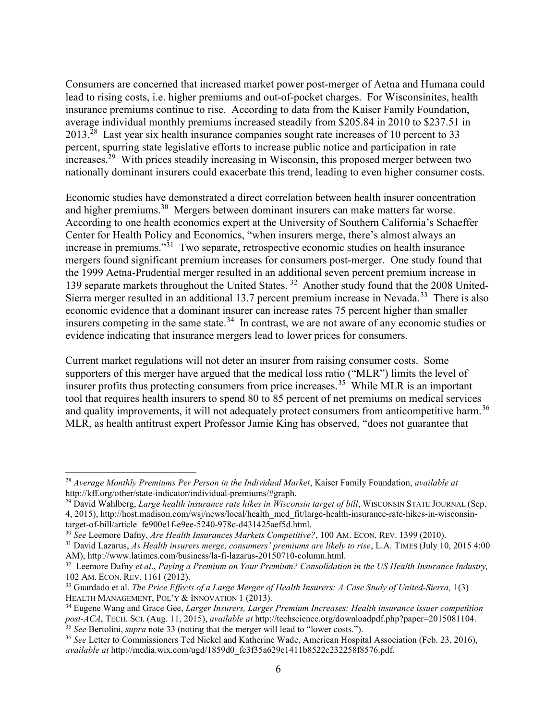Consumers are concerned that increased market power post-merger of Aetna and Humana could lead to rising costs, i.e. higher premiums and out-of-pocket charges. For Wisconsinites, health insurance premiums continue to rise. According to data from the Kaiser Family Foundation, average individual monthly premiums increased steadily from \$205.84 in 2010 to \$237.51 in 2013.<sup>28</sup> Last year six health insurance companies sought rate increases of 10 percent to 33 percent, spurring state legislative efforts to increase public notice and participation in rate increases.<sup>29</sup> With prices steadily increasing in Wisconsin, this proposed merger between two nationally dominant insurers could exacerbate this trend, leading to even higher consumer costs.

Economic studies have demonstrated a direct correlation between health insurer concentration and higher premiums.<sup>30</sup> Mergers between dominant insurers can make matters far worse. According to one health economics expert at the University of Southern California's Schaeffer Center for Health Policy and Economics, "when insurers merge, there's almost always an increase in premiums."<sup>31</sup> Two separate, retrospective economic studies on health insurance mergers found significant premium increases for consumers post-merger. One study found that the 1999 Aetna-Prudential merger resulted in an additional seven percent premium increase in 139 separate markets throughout the United States.<sup>32</sup> Another study found that the 2008 United-Sierra merger resulted in an additional 13.7 percent premium increase in Nevada.<sup>33</sup> There is also economic evidence that a dominant insurer can increase rates 75 percent higher than smaller insurers competing in the same state.<sup>34</sup> In contrast, we are not aware of any economic studies or evidence indicating that insurance mergers lead to lower prices for consumers.

Current market regulations will not deter an insurer from raising consumer costs. Some supporters of this merger have argued that the medical loss ratio ("MLR") limits the level of insurer profits thus protecting consumers from price increases.<sup>35</sup> While MLR is an important tool that requires health insurers to spend 80 to 85 percent of net premiums on medical services and quality improvements, it will not adequately protect consumers from anticompetitive harm.<sup>36</sup> MLR, as health antitrust expert Professor Jamie King has observed, "does not guarantee that

<sup>&</sup>lt;sup>28</sup> Average Monthly Premiums Per Person in the Individual Market, Kaiser Family Foundation, available at http://kff.org/other/state-indicator/individual-premiums/#graph.

 $^{29}$  David Wahlberg, *Large health insurance rate hikes in Wisconsin target of bill*, WISCONSIN STATE JOURNAL (Sep. 4, 2015), http://host.madison.com/wsj/news/local/health\_med\_fit/large-health-insurance-rate-hikes-in-wisconsintarget-of-bill/article\_fe900e1f-e9ee-5240-978c-d431425aef5d.html.

<sup>&</sup>lt;sup>30</sup> See Leemore Dafny, Are Health Insurances Markets Competitive?, 100 AM. ECON. REV. 1399 (2010).

 $31$  David Lazarus, As Health insurers merge, consumers' premiums are likely to rise, L.A. TIMES (July 10, 2015 4:00) AM), http://www.latimes.com/business/la-fi-lazarus-20150710-column.html.

<sup>&</sup>lt;sup>32</sup> Leemore Dafny et al., Paying a Premium on Your Premium? Consolidation in the US Health Insurance Industry, 102 AM. ECON. REV. 1161 (2012).

 $33$  Guardado et al. The Price Effects of a Large Merger of Health Insurers: A Case Study of United-Sierra,  $1(3)$ HEALTH MANAGEMENT, POL'Y & INNOVATION 1 (2013).

<sup>&</sup>lt;sup>34</sup> Eugene Wang and Grace Gee, *Larger Insurers, Larger Premium Increases: Health insurance issuer competition* post-ACA, TECH. SCI. (Aug. 11, 2015), available at http://techscience.org/downloadpdf.php?paper=2015081104.  $35$  See Bertolini, supra note 33 (noting that the merger will lead to "lower costs.").

<sup>&</sup>lt;sup>36</sup> See Letter to Commissioners Ted Nickel and Katherine Wade, American Hospital Association (Feb. 23, 2016), available at http://media.wix.com/ugd/1859d0\_fe3f35a629c1411b8522c232258f8576.pdf.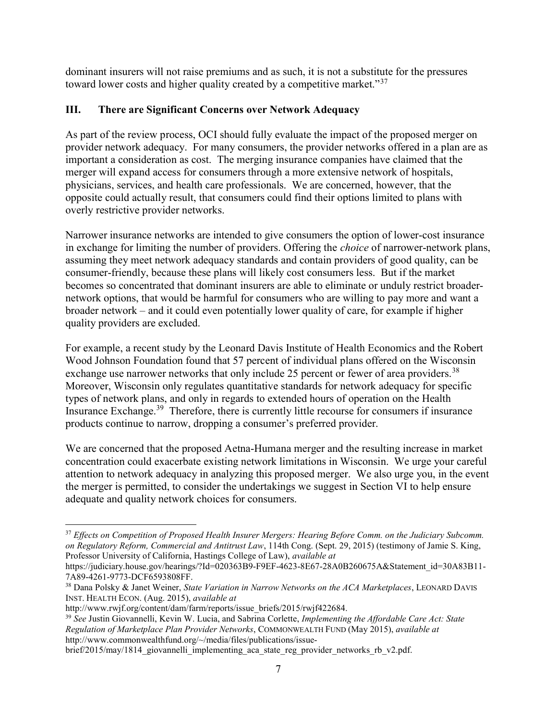dominant insurers will not raise premiums and as such, it is not a substitute for the pressures toward lower costs and higher quality created by a competitive market."<sup>37</sup>

# III. There are Significant Concerns over Network Adequacy

As part of the review process, OCI should fully evaluate the impact of the proposed merger on provider network adequacy. For many consumers, the provider networks offered in a plan are as important a consideration as cost. The merging insurance companies have claimed that the merger will expand access for consumers through a more extensive network of hospitals, physicians, services, and health care professionals. We are concerned, however, that the opposite could actually result, that consumers could find their options limited to plans with overly restrictive provider networks.

Narrower insurance networks are intended to give consumers the option of lower-cost insurance in exchange for limiting the number of providers. Offering the choice of narrower-network plans, assuming they meet network adequacy standards and contain providers of good quality, can be consumer-friendly, because these plans will likely cost consumers less. But if the market becomes so concentrated that dominant insurers are able to eliminate or unduly restrict broadernetwork options, that would be harmful for consumers who are willing to pay more and want a broader network – and it could even potentially lower quality of care, for example if higher quality providers are excluded.

For example, a recent study by the Leonard Davis Institute of Health Economics and the Robert Wood Johnson Foundation found that 57 percent of individual plans offered on the Wisconsin exchange use narrower networks that only include 25 percent or fewer of area providers.<sup>38</sup> Moreover, Wisconsin only regulates quantitative standards for network adequacy for specific types of network plans, and only in regards to extended hours of operation on the Health Insurance Exchange.<sup>39</sup> Therefore, there is currently little recourse for consumers if insurance products continue to narrow, dropping a consumer's preferred provider.

We are concerned that the proposed Aetna-Humana merger and the resulting increase in market concentration could exacerbate existing network limitations in Wisconsin. We urge your careful attention to network adequacy in analyzing this proposed merger. We also urge you, in the event the merger is permitted, to consider the undertakings we suggest in Section VI to help ensure adequate and quality network choices for consumers.

 $\overline{a}$ 37 Effects on Competition of Proposed Health Insurer Mergers: Hearing Before Comm. on the Judiciary Subcomm. on Regulatory Reform, Commercial and Antitrust Law, 114th Cong. (Sept. 29, 2015) (testimony of Jamie S. King, Professor University of California, Hastings College of Law), available at

https://judiciary.house.gov/hearings/?Id=020363B9-F9EF-4623-8E67-28A0B260675A&Statement\_id=30A83B11-7A89-4261-9773-DCF6593808FF.

<sup>&</sup>lt;sup>38</sup> Dana Polsky & Janet Weiner, State Variation in Narrow Networks on the ACA Marketplaces, LEONARD DAVIS INST. HEALTH ECON. (Aug. 2015), available at

http://www.rwjf.org/content/dam/farm/reports/issue\_briefs/2015/rwjf422684.

<sup>&</sup>lt;sup>39</sup> See Justin Giovannelli, Kevin W. Lucia, and Sabrina Corlette, *Implementing the Affordable Care Act: State* Regulation of Marketplace Plan Provider Networks, COMMONWEALTH FUND (May 2015), available at http://www.commonwealthfund.org/~/media/files/publications/issue-

brief/2015/may/1814\_giovannelli\_implementing\_aca\_state\_reg\_provider\_networks\_rb\_v2.pdf.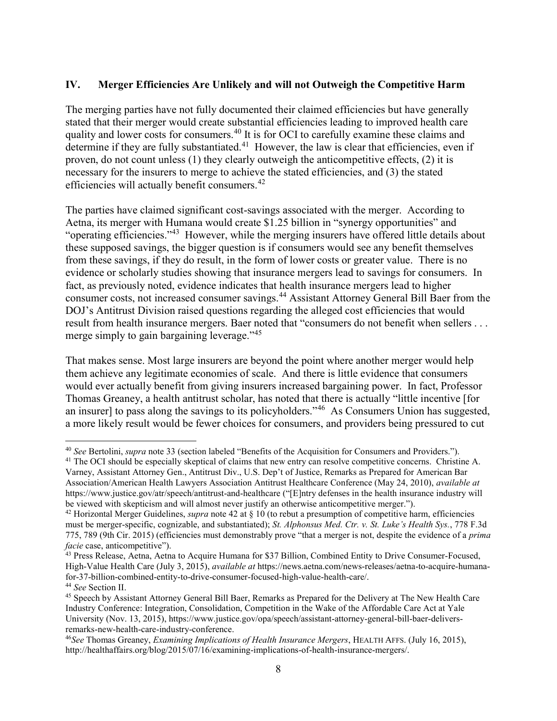#### IV. Merger Efficiencies Are Unlikely and will not Outweigh the Competitive Harm

The merging parties have not fully documented their claimed efficiencies but have generally stated that their merger would create substantial efficiencies leading to improved health care quality and lower costs for consumers.<sup>40</sup> It is for OCI to carefully examine these claims and determine if they are fully substantiated.<sup>41</sup> However, the law is clear that efficiencies, even if proven, do not count unless (1) they clearly outweigh the anticompetitive effects, (2) it is necessary for the insurers to merge to achieve the stated efficiencies, and (3) the stated efficiencies will actually benefit consumers.<sup>42</sup>

The parties have claimed significant cost-savings associated with the merger. According to Aetna, its merger with Humana would create \$1.25 billion in "synergy opportunities" and "operating efficiencies."<sup>43</sup> However, while the merging insurers have offered little details about these supposed savings, the bigger question is if consumers would see any benefit themselves from these savings, if they do result, in the form of lower costs or greater value. There is no evidence or scholarly studies showing that insurance mergers lead to savings for consumers. In fact, as previously noted, evidence indicates that health insurance mergers lead to higher consumer costs, not increased consumer savings.<sup>44</sup> Assistant Attorney General Bill Baer from the DOJ's Antitrust Division raised questions regarding the alleged cost efficiencies that would result from health insurance mergers. Baer noted that "consumers do not benefit when sellers . . . merge simply to gain bargaining leverage."<sup>45</sup>

That makes sense. Most large insurers are beyond the point where another merger would help them achieve any legitimate economies of scale. And there is little evidence that consumers would ever actually benefit from giving insurers increased bargaining power. In fact, Professor Thomas Greaney, a health antitrust scholar, has noted that there is actually "little incentive [for an insurer] to pass along the savings to its policyholders."<sup>46</sup> As Consumers Union has suggested, a more likely result would be fewer choices for consumers, and providers being pressured to cut

 $\overline{a}$ <sup>40</sup> See Bertolini, supra note 33 (section labeled "Benefits of the Acquisition for Consumers and Providers.").

<sup>&</sup>lt;sup>41</sup> The OCI should be especially skeptical of claims that new entry can resolve competitive concerns. Christine A. Varney, Assistant Attorney Gen., Antitrust Div., U.S. Dep't of Justice, Remarks as Prepared for American Bar Association/American Health Lawyers Association Antitrust Healthcare Conference (May 24, 2010), available at https://www.justice.gov/atr/speech/antitrust-and-healthcare ("[E]ntry defenses in the health insurance industry will be viewed with skepticism and will almost never justify an otherwise anticompetitive merger.").

<sup>&</sup>lt;sup>42</sup> Horizontal Merger Guidelines, *supra* note 42 at § 10 (to rebut a presumption of competitive harm, efficiencies must be merger-specific, cognizable, and substantiated); St. Alphonsus Med. Ctr. v. St. Luke's Health Sys., 778 F.3d 775, 789 (9th Cir. 2015) (efficiencies must demonstrably prove "that a merger is not, despite the evidence of a prima facie case, anticompetitive").

<sup>&</sup>lt;sup>43</sup> Press Release, Aetna, Aetna to Acquire Humana for \$37 Billion, Combined Entity to Drive Consumer-Focused, High-Value Health Care (July 3, 2015), available at https://news.aetna.com/news-releases/aetna-to-acquire-humanafor-37-billion-combined-entity-to-drive-consumer-focused-high-value-health-care/.

<sup>&</sup>lt;sup>44</sup> See Section II.

<sup>45</sup> Speech by Assistant Attorney General Bill Baer, Remarks as Prepared for the Delivery at The New Health Care Industry Conference: Integration, Consolidation, Competition in the Wake of the Affordable Care Act at Yale University (Nov. 13, 2015), https://www.justice.gov/opa/speech/assistant-attorney-general-bill-baer-deliversremarks-new-health-care-industry-conference.

<sup>&</sup>lt;sup>46</sup>See Thomas Greaney, *Examining Implications of Health Insurance Mergers*, HEALTH AFFS. (July 16, 2015), http://healthaffairs.org/blog/2015/07/16/examining-implications-of-health-insurance-mergers/.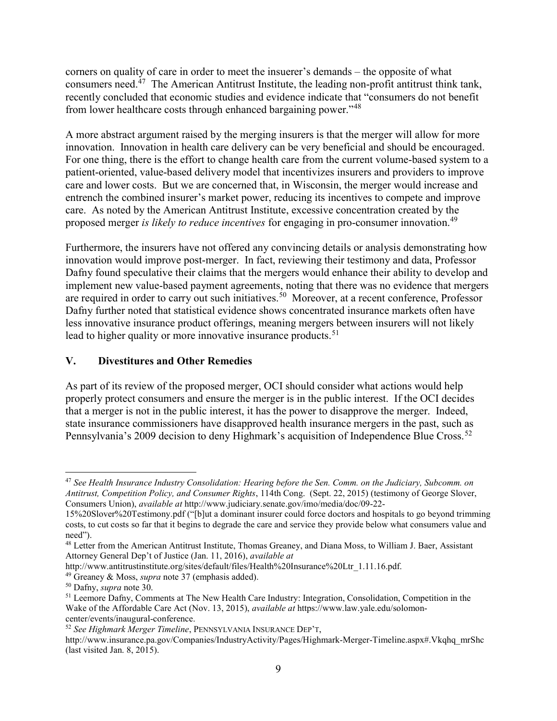corners on quality of care in order to meet the insuerer's demands – the opposite of what consumers need.<sup>47</sup> The American Antitrust Institute, the leading non-profit antitrust think tank, recently concluded that economic studies and evidence indicate that "consumers do not benefit from lower healthcare costs through enhanced bargaining power."<sup>48</sup>

A more abstract argument raised by the merging insurers is that the merger will allow for more innovation. Innovation in health care delivery can be very beneficial and should be encouraged. For one thing, there is the effort to change health care from the current volume-based system to a patient-oriented, value-based delivery model that incentivizes insurers and providers to improve care and lower costs. But we are concerned that, in Wisconsin, the merger would increase and entrench the combined insurer's market power, reducing its incentives to compete and improve care. As noted by the American Antitrust Institute, excessive concentration created by the proposed merger is likely to reduce incentives for engaging in pro-consumer innovation.<sup>49</sup>

Furthermore, the insurers have not offered any convincing details or analysis demonstrating how innovation would improve post-merger. In fact, reviewing their testimony and data, Professor Dafny found speculative their claims that the mergers would enhance their ability to develop and implement new value-based payment agreements, noting that there was no evidence that mergers are required in order to carry out such initiatives.<sup>50</sup> Moreover, at a recent conference, Professor Dafny further noted that statistical evidence shows concentrated insurance markets often have less innovative insurance product offerings, meaning mergers between insurers will not likely lead to higher quality or more innovative insurance products.<sup>51</sup>

## V. Divestitures and Other Remedies

As part of its review of the proposed merger, OCI should consider what actions would help properly protect consumers and ensure the merger is in the public interest. If the OCI decides that a merger is not in the public interest, it has the power to disapprove the merger. Indeed, state insurance commissioners have disapproved health insurance mergers in the past, such as Pennsylvania's 2009 decision to deny Highmark's acquisition of Independence Blue Cross.<sup>52</sup>

 $47$  See Health Insurance Industry Consolidation: Hearing before the Sen. Comm. on the Judiciary, Subcomm. on Antitrust, Competition Policy, and Consumer Rights, 114th Cong. (Sept. 22, 2015) (testimony of George Slover, Consumers Union), available at http://www.judiciary.senate.gov/imo/media/doc/09-22-

<sup>15%20</sup>Slover%20Testimony.pdf ("[b]ut a dominant insurer could force doctors and hospitals to go beyond trimming costs, to cut costs so far that it begins to degrade the care and service they provide below what consumers value and need").

<sup>48</sup> Letter from the American Antitrust Institute, Thomas Greaney, and Diana Moss, to William J. Baer, Assistant Attorney General Dep't of Justice (Jan. 11, 2016), available at

http://www.antitrustinstitute.org/sites/default/files/Health%20Insurance%20Ltr\_1.11.16.pdf.

<sup>&</sup>lt;sup>49</sup> Greaney & Moss, *supra* note 37 (emphasis added).

<sup>50</sup> Dafny, supra note 30.

<sup>51</sup> Leemore Dafny, Comments at The New Health Care Industry: Integration, Consolidation, Competition in the Wake of the Affordable Care Act (Nov. 13, 2015), *available at https://www.law.yale.edu/solomon*center/events/inaugural-conference.

<sup>52</sup> See Highmark Merger Timeline, PENNSYLVANIA INSURANCE DEP'T,

http://www.insurance.pa.gov/Companies/IndustryActivity/Pages/Highmark-Merger-Timeline.aspx#.Vkqhq\_mrShc (last visited Jan. 8, 2015).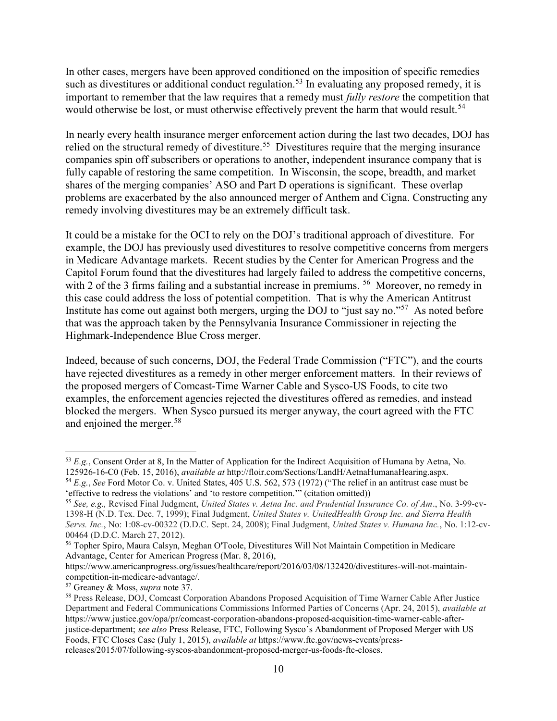In other cases, mergers have been approved conditioned on the imposition of specific remedies such as divestitures or additional conduct regulation.<sup>53</sup> In evaluating any proposed remedy, it is important to remember that the law requires that a remedy must fully restore the competition that would otherwise be lost, or must otherwise effectively prevent the harm that would result.<sup>54</sup>

In nearly every health insurance merger enforcement action during the last two decades, DOJ has relied on the structural remedy of divestiture.<sup>55</sup> Divestitures require that the merging insurance companies spin off subscribers or operations to another, independent insurance company that is fully capable of restoring the same competition. In Wisconsin, the scope, breadth, and market shares of the merging companies' ASO and Part D operations is significant. These overlap problems are exacerbated by the also announced merger of Anthem and Cigna. Constructing any remedy involving divestitures may be an extremely difficult task.

It could be a mistake for the OCI to rely on the DOJ's traditional approach of divestiture. For example, the DOJ has previously used divestitures to resolve competitive concerns from mergers in Medicare Advantage markets. Recent studies by the Center for American Progress and the Capitol Forum found that the divestitures had largely failed to address the competitive concerns, with 2 of the 3 firms failing and a substantial increase in premiums. <sup>56</sup> Moreover, no remedy in this case could address the loss of potential competition. That is why the American Antitrust Institute has come out against both mergers, urging the DOJ to "just say no."<sup>57</sup> As noted before that was the approach taken by the Pennsylvania Insurance Commissioner in rejecting the Highmark-Independence Blue Cross merger.

Indeed, because of such concerns, DOJ, the Federal Trade Commission ("FTC"), and the courts have rejected divestitures as a remedy in other merger enforcement matters. In their reviews of the proposed mergers of Comcast-Time Warner Cable and Sysco-US Foods, to cite two examples, the enforcement agencies rejected the divestitures offered as remedies, and instead blocked the mergers. When Sysco pursued its merger anyway, the court agreed with the FTC and enjoined the merger.<sup>58</sup>

 $53 E.g.,$  Consent Order at 8, In the Matter of Application for the Indirect Acquisition of Humana by Aetna, No. 125926-16-C0 (Feb. 15, 2016), available at http://floir.com/Sections/LandH/AetnaHumanaHearing.aspx.

 $54$  E.g., See Ford Motor Co. v. United States, 405 U.S. 562, 573 (1972) ("The relief in an antitrust case must be 'effective to redress the violations' and 'to restore competition.'" (citation omitted))

<sup>55</sup> See, e.g., Revised Final Judgment, United States v. Aetna Inc. and Prudential Insurance Co. of Am., No. 3-99-cv-1398-H (N.D. Tex. Dec. 7, 1999); Final Judgment, United States v. UnitedHealth Group Inc. and Sierra Health Servs. Inc., No: 1:08-cv-00322 (D.D.C. Sept. 24, 2008); Final Judgment, United States v. Humana Inc., No. 1:12-cv-00464 (D.D.C. March 27, 2012).

<sup>56</sup> Topher Spiro, Maura Calsyn, Meghan O'Toole, Divestitures Will Not Maintain Competition in Medicare Advantage, Center for American Progress (Mar. 8, 2016),

https://www.americanprogress.org/issues/healthcare/report/2016/03/08/132420/divestitures-will-not-maintaincompetition-in-medicare-advantage/.

<sup>57</sup> Greaney & Moss, supra note 37.

<sup>58</sup> Press Release, DOJ, Comcast Corporation Abandons Proposed Acquisition of Time Warner Cable After Justice Department and Federal Communications Commissions Informed Parties of Concerns (Apr. 24, 2015), available at https://www.justice.gov/opa/pr/comcast-corporation-abandons-proposed-acquisition-time-warner-cable-afterjustice-department; see also Press Release, FTC, Following Sysco's Abandonment of Proposed Merger with US Foods, FTC Closes Case (July 1, 2015), available at https://www.ftc.gov/news-events/pressreleases/2015/07/following-syscos-abandonment-proposed-merger-us-foods-ftc-closes.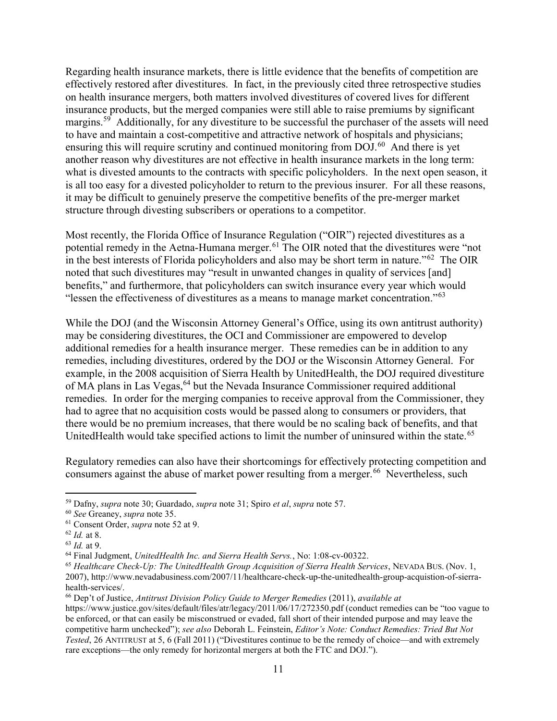Regarding health insurance markets, there is little evidence that the benefits of competition are effectively restored after divestitures. In fact, in the previously cited three retrospective studies on health insurance mergers, both matters involved divestitures of covered lives for different insurance products, but the merged companies were still able to raise premiums by significant margins.<sup>59</sup> Additionally, for any divestiture to be successful the purchaser of the assets will need to have and maintain a cost-competitive and attractive network of hospitals and physicians; ensuring this will require scrutiny and continued monitoring from DOJ.<sup>60</sup> And there is yet another reason why divestitures are not effective in health insurance markets in the long term: what is divested amounts to the contracts with specific policyholders. In the next open season, it is all too easy for a divested policyholder to return to the previous insurer. For all these reasons, it may be difficult to genuinely preserve the competitive benefits of the pre-merger market structure through divesting subscribers or operations to a competitor.

Most recently, the Florida Office of Insurance Regulation ("OIR") rejected divestitures as a potential remedy in the Aetna-Humana merger.<sup>61</sup> The OIR noted that the divestitures were "not in the best interests of Florida policyholders and also may be short term in nature."<sup>62</sup> The OIR noted that such divestitures may "result in unwanted changes in quality of services [and] benefits," and furthermore, that policyholders can switch insurance every year which would "lessen the effectiveness of divestitures as a means to manage market concentration." $63$ 

While the DOJ (and the Wisconsin Attorney General's Office, using its own antitrust authority) may be considering divestitures, the OCI and Commissioner are empowered to develop additional remedies for a health insurance merger. These remedies can be in addition to any remedies, including divestitures, ordered by the DOJ or the Wisconsin Attorney General. For example, in the 2008 acquisition of Sierra Health by UnitedHealth, the DOJ required divestiture of MA plans in Las Vegas, <sup>64</sup> but the Nevada Insurance Commissioner required additional remedies. In order for the merging companies to receive approval from the Commissioner, they had to agree that no acquisition costs would be passed along to consumers or providers, that there would be no premium increases, that there would be no scaling back of benefits, and that UnitedHealth would take specified actions to limit the number of uninsured within the state.<sup>65</sup>

Regulatory remedies can also have their shortcomings for effectively protecting competition and consumers against the abuse of market power resulting from a merger.<sup>66</sup> Nevertheless, such

<sup>59</sup> Dafny, supra note 30; Guardado, supra note 31; Spiro et al, supra note 57.

<sup>60</sup> See Greaney, supra note 35.

<sup>&</sup>lt;sup>61</sup> Consent Order, *supra* note 52 at 9.

 $62$  *Id.* at 8.

 $63$  *Id.* at 9.

<sup>&</sup>lt;sup>64</sup> Final Judgment, UnitedHealth Inc. and Sierra Health Servs., No: 1:08-cv-00322.

<sup>&</sup>lt;sup>65</sup> Healthcare Check-Up: The UnitedHealth Group Acquisition of Sierra Health Services, NEVADA BUS. (Nov. 1, 2007), http://www.nevadabusiness.com/2007/11/healthcare-check-up-the-unitedhealth-group-acquistion-of-sierrahealth-services/.

 $66$  Dep't of Justice, Antitrust Division Policy Guide to Merger Remedies (2011), available at

https://www.justice.gov/sites/default/files/atr/legacy/2011/06/17/272350.pdf (conduct remedies can be "too vague to be enforced, or that can easily be misconstrued or evaded, fall short of their intended purpose and may leave the competitive harm unchecked"); see also Deborah L. Feinstein, Editor's Note: Conduct Remedies: Tried But Not Tested, 26 ANTITRUST at 5, 6 (Fall 2011) ("Divestitures continue to be the remedy of choice—and with extremely rare exceptions—the only remedy for horizontal mergers at both the FTC and DOJ.").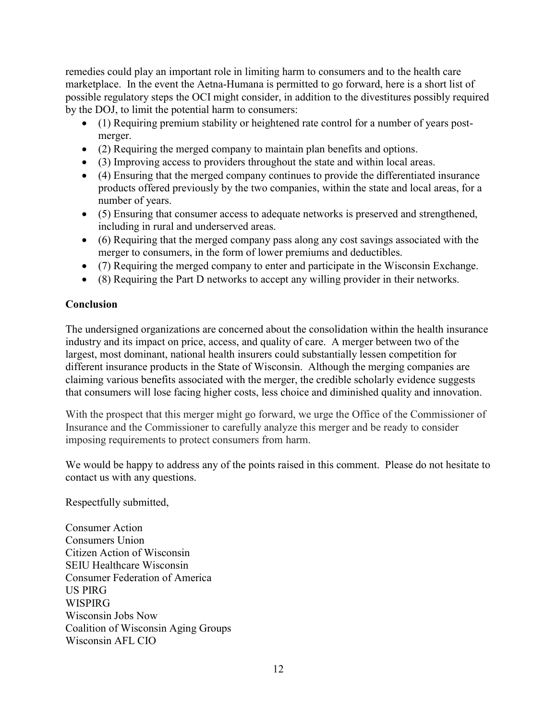remedies could play an important role in limiting harm to consumers and to the health care marketplace. In the event the Aetna-Humana is permitted to go forward, here is a short list of possible regulatory steps the OCI might consider, in addition to the divestitures possibly required by the DOJ, to limit the potential harm to consumers:

- (1) Requiring premium stability or heightened rate control for a number of years postmerger.
- (2) Requiring the merged company to maintain plan benefits and options.
- (3) Improving access to providers throughout the state and within local areas.
- (4) Ensuring that the merged company continues to provide the differentiated insurance products offered previously by the two companies, within the state and local areas, for a number of years.
- (5) Ensuring that consumer access to adequate networks is preserved and strengthened, including in rural and underserved areas.
- (6) Requiring that the merged company pass along any cost savings associated with the merger to consumers, in the form of lower premiums and deductibles.
- (7) Requiring the merged company to enter and participate in the Wisconsin Exchange.
- (8) Requiring the Part D networks to accept any willing provider in their networks.

#### Conclusion

The undersigned organizations are concerned about the consolidation within the health insurance industry and its impact on price, access, and quality of care. A merger between two of the largest, most dominant, national health insurers could substantially lessen competition for different insurance products in the State of Wisconsin. Although the merging companies are claiming various benefits associated with the merger, the credible scholarly evidence suggests that consumers will lose facing higher costs, less choice and diminished quality and innovation.

With the prospect that this merger might go forward, we urge the Office of the Commissioner of Insurance and the Commissioner to carefully analyze this merger and be ready to consider imposing requirements to protect consumers from harm.

We would be happy to address any of the points raised in this comment. Please do not hesitate to contact us with any questions.

Respectfully submitted,

Consumer Action Consumers Union Citizen Action of Wisconsin SEIU Healthcare Wisconsin Consumer Federation of America US PIRG **WISPIRG** Wisconsin Jobs Now Coalition of Wisconsin Aging Groups Wisconsin AFL CIO